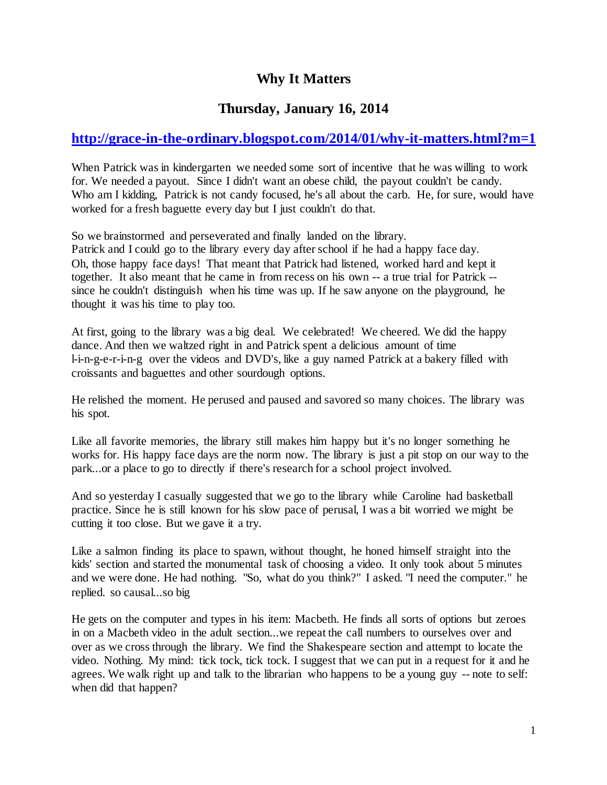# **Why It Matters**

## **Thursday, January 16, 2014**

# **<http://grace-in-the-ordinary.blogspot.com/2014/01/why-it-matters.html?m=1>**

When Patrick was in kindergarten we needed some sort of incentive that he was willing to work for. We needed a payout. Since I didn't want an obese child, the payout couldn't be candy. Who am I kidding, Patrick is not candy focused, he's all about the carb. He, for sure, would have worked for a fresh baguette every day but I just couldn't do that.

So we brainstormed and perseverated and finally landed on the library. Patrick and I could go to the library every day after school if he had a happy face day. Oh, those happy face days! That meant that Patrick had listened, worked hard and kept it together. It also meant that he came in from recess on his own -- a true trial for Patrick - since he couldn't distinguish when his time was up. If he saw anyone on the playground, he thought it was his time to play too.

At first, going to the library was a big deal. We celebrated! We cheered. We did the happy dance. And then we waltzed right in and Patrick spent a delicious amount of time l-i-n-g-e-r-i-n-g over the videos and DVD's, like a guy named Patrick at a bakery filled with croissants and baguettes and other sourdough options.

He relished the moment. He perused and paused and savored so many choices. The library was his spot.

Like all favorite memories, the library still makes him happy but it's no longer something he works for. His happy face days are the norm now. The library is just a pit stop on our way to the park...or a place to go to directly if there's research for a school project involved.

And so yesterday I casually suggested that we go to the library while Caroline had basketball practice. Since he is still known for his slow pace of perusal, I was a bit worried we might be cutting it too close. But we gave it a try.

Like a salmon finding its place to spawn, without thought, he honed himself straight into the kids' section and started the monumental task of choosing a video. It only took about 5 minutes and we were done. He had nothing. "So, what do you think?" I asked. "I need the computer." he replied. so causal...so big

He gets on the computer and types in his item: Macbeth. He finds all sorts of options but zeroes in on a Macbeth video in the adult section...we repeat the call numbers to ourselves over and over as we cross through the library. We find the Shakespeare section and attempt to locate the video. Nothing. My mind: tick tock, tick tock. I suggest that we can put in a request for it and he agrees. We walk right up and talk to the librarian who happens to be a young guy -- note to self: when did that happen?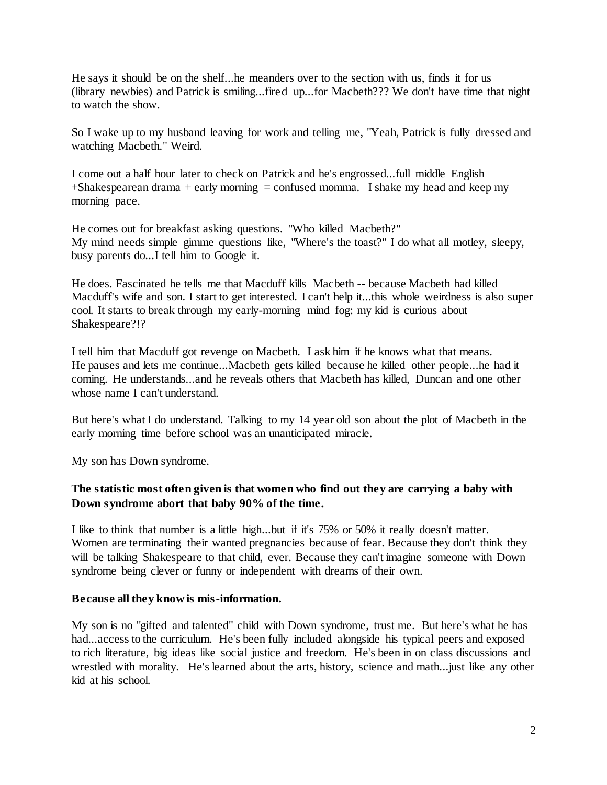He says it should be on the shelf...he meanders over to the section with us, finds it for us (library newbies) and Patrick is smiling...fired up...for Macbeth??? We don't have time that night to watch the show.

So I wake up to my husband leaving for work and telling me, "Yeah, Patrick is fully dressed and watching Macbeth." Weird.

I come out a half hour later to check on Patrick and he's engrossed...full middle English  $+$ Shakespearean drama  $+$  early morning  $=$  confused momma. I shake my head and keep my morning pace.

He comes out for breakfast asking questions. "Who killed Macbeth?" My mind needs simple gimme questions like, "Where's the toast?" I do what all motley, sleepy, busy parents do...I tell him to Google it.

He does. Fascinated he tells me that Macduff kills Macbeth -- because Macbeth had killed Macduff's wife and son. I start to get interested. I can't help it...this whole weirdness is also super cool. It starts to break through my early-morning mind fog: my kid is curious about Shakespeare?!?

I tell him that Macduff got revenge on Macbeth. I ask him if he knows what that means. He pauses and lets me continue...Macbeth gets killed because he killed other people...he had it coming. He understands...and he reveals others that Macbeth has killed, Duncan and one other whose name I can't understand.

But here's what I do understand. Talking to my 14 year old son about the plot of Macbeth in the early morning time before school was an unanticipated miracle.

My son has Down syndrome.

### **The statistic most often given is that women who find out they are carrying a baby with Down syndrome abort that baby 90% of the time.**

I like to think that number is a little high...but if it's 75% or 50% it really doesn't matter. Women are terminating their wanted pregnancies because of fear. Because they don't think they will be talking Shakespeare to that child, ever. Because they can't imagine someone with Down syndrome being clever or funny or independent with dreams of their own.

#### **Because all they know is mis-information.**

My son is no "gifted and talented" child with Down syndrome, trust me. But here's what he has had...access to the curriculum. He's been fully included alongside his typical peers and exposed to rich literature, big ideas like social justice and freedom. He's been in on class discussions and wrestled with morality. He's learned about the arts, history, science and math...just like any other kid at his school.